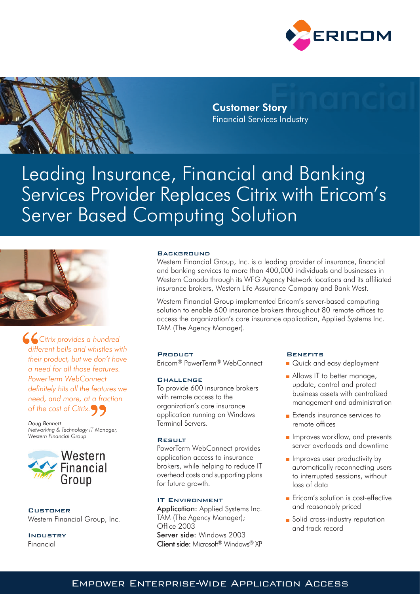



**Customer Story Financial Services Industry** 

# Leading Insurance, Financial and Banking Services Provider Replaces Citrix with Ericom's **Server Based Computing Solution**



**Citrix provides a hundred** different bells and whistles with their product, but we don't have a need for all those features. PowerTerm WebConnect definitely hits all the features we need, and more, at a fraction of the cost of Citrix.

Doug Bennett Networking & Technology IT Manager, Western Financial Group



**CUSTOMER** Western Financial Group, Inc.

**INDUSTRY** Financial

## **BACKGROUND**

Western Financial Group, Inc. is a leading provider of insurance, financial and banking services to more than 400,000 individuals and businesses in Western Canada through its WFG Agency Network locations and its affiliated insurance brokers, Western Life Assurance Company and Bank West.

Western Financial Group implemented Ericom's server-based computing solution to enable 600 insurance brokers throughout 80 remote offices to access the organization's core insurance application, Applied Systems Inc. TAM (The Agency Manager).

#### **PRODUCT**

Fricom<sup>®</sup> PowerTerm<sup>®</sup> WebConnect

### **CHALLENGE**

To provide 600 insurance brokers with remote access to the organization's core insurance application running on Windows Terminal Servers.

#### RESULT

PowerTerm WebConnect provides application access to insurance brokers, while helping to reduce IT overhead costs and supporting plans for future arowth.

# **IT ENVIRONMENT**

Application: Applied Systems Inc. TAM (The Agency Manager); Office 2003 Server side: Windows 2003 Client side: Microsoft® Windows® XP

#### **BENEFITS**

- Quick and easy deployment
- Allows IT to better manage, update, control and protect business assets with centralized management and administration
- Extends insurance services to remote offices
- Improves workflow, and prevents server overloads and downtime
- Improves user productivity by automatically reconnecting users to interrupted sessions, without loss of data
- Ericom's solution is cost-effective and reasonably priced
- Solid cross-industry reputation and track record

# EMPOWER ENTERPRISE-WIDE APPLICATION ACCESS